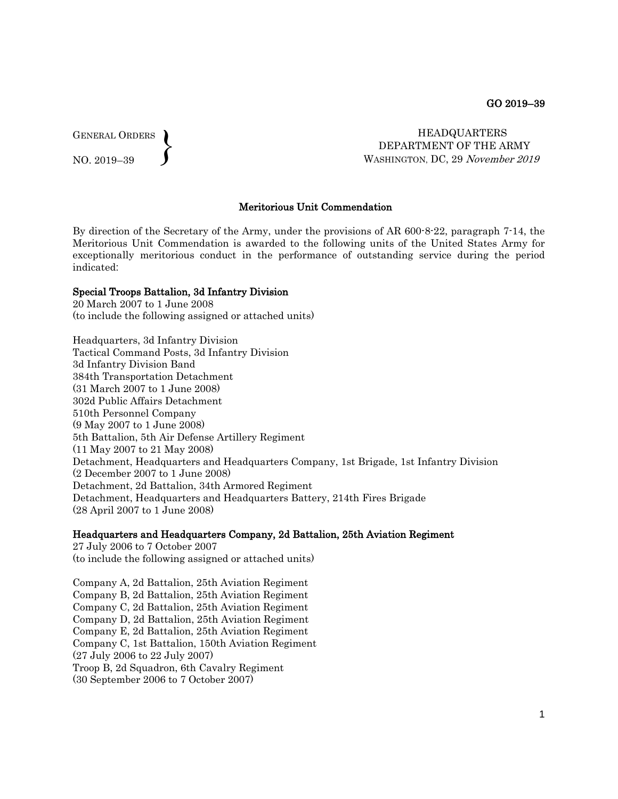GENERAL ORDERS  $\left\{ \right\}$ 

NO. 2019–39

 HEADQUARTERS DEPARTMENT OF THE ARMY WASHINGTON, DC, 29 November 2019

### Meritorious Unit Commendation

By direction of the Secretary of the Army, under the provisions of AR 600-8-22, paragraph 7-14, the Meritorious Unit Commendation is awarded to the following units of the United States Army for exceptionally meritorious conduct in the performance of outstanding service during the period indicated:

#### Special Troops Battalion, 3d Infantry Division

20 March 2007 to 1 June 2008 (to include the following assigned or attached units)

Headquarters, 3d Infantry Division Tactical Command Posts, 3d Infantry Division 3d Infantry Division Band 384th Transportation Detachment (31 March 2007 to 1 June 2008) 302d Public Affairs Detachment 510th Personnel Company (9 May 2007 to 1 June 2008) 5th Battalion, 5th Air Defense Artillery Regiment (11 May 2007 to 21 May 2008) Detachment, Headquarters and Headquarters Company, 1st Brigade, 1st Infantry Division (2 December 2007 to 1 June 2008) Detachment, 2d Battalion, 34th Armored Regiment Detachment, Headquarters and Headquarters Battery, 214th Fires Brigade (28 April 2007 to 1 June 2008)

#### Headquarters and Headquarters Company, 2d Battalion, 25th Aviation Regiment

27 July 2006 to 7 October 2007 (to include the following assigned or attached units)

Company A, 2d Battalion, 25th Aviation Regiment Company B, 2d Battalion, 25th Aviation Regiment Company C, 2d Battalion, 25th Aviation Regiment Company D, 2d Battalion, 25th Aviation Regiment Company E, 2d Battalion, 25th Aviation Regiment Company C, 1st Battalion, 150th Aviation Regiment (27 July 2006 to 22 July 2007) Troop B, 2d Squadron, 6th Cavalry Regiment (30 September 2006 to 7 October 2007)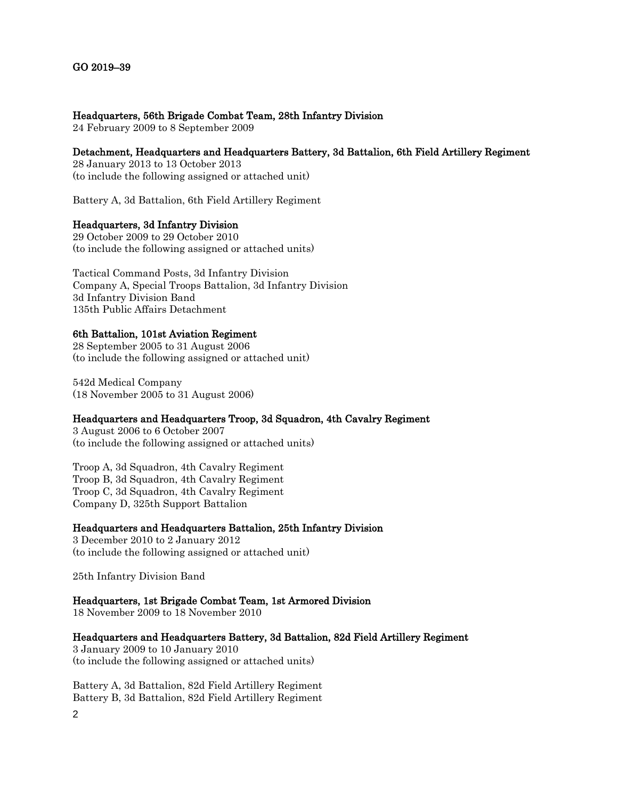## Headquarters, 56th Brigade Combat Team, 28th Infantry Division

24 February 2009 to 8 September 2009

# Detachment, Headquarters and Headquarters Battery, 3d Battalion, 6th Field Artillery Regiment

28 January 2013 to 13 October 2013 (to include the following assigned or attached unit)

Battery A, 3d Battalion, 6th Field Artillery Regiment

# Headquarters, 3d Infantry Division

29 October 2009 to 29 October 2010 (to include the following assigned or attached units)

Tactical Command Posts, 3d Infantry Division Company A, Special Troops Battalion, 3d Infantry Division 3d Infantry Division Band 135th Public Affairs Detachment

## 6th Battalion, 101st Aviation Regiment

28 September 2005 to 31 August 2006 (to include the following assigned or attached unit)

542d Medical Company (18 November 2005 to 31 August 2006)

# Headquarters and Headquarters Troop, 3d Squadron, 4th Cavalry Regiment

3 August 2006 to 6 October 2007 (to include the following assigned or attached units)

Troop A, 3d Squadron, 4th Cavalry Regiment Troop B, 3d Squadron, 4th Cavalry Regiment Troop C, 3d Squadron, 4th Cavalry Regiment Company D, 325th Support Battalion

# Headquarters and Headquarters Battalion, 25th Infantry Division

3 December 2010 to 2 January 2012 (to include the following assigned or attached unit)

25th Infantry Division Band

# Headquarters, 1st Brigade Combat Team, 1st Armored Division

18 November 2009 to 18 November 2010

## Headquarters and Headquarters Battery, 3d Battalion, 82d Field Artillery Regiment

3 January 2009 to 10 January 2010 (to include the following assigned or attached units)

2 Battery A, 3d Battalion, 82d Field Artillery Regiment Battery B, 3d Battalion, 82d Field Artillery Regiment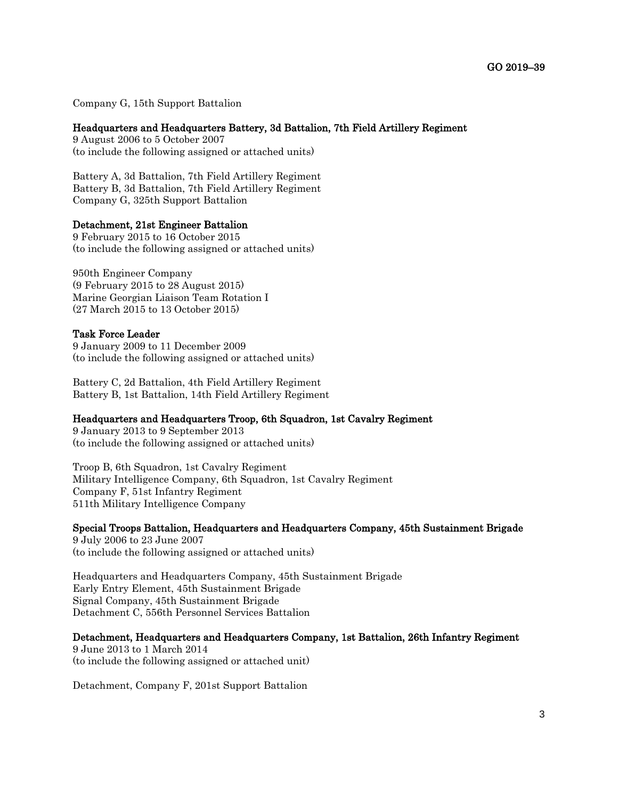Company G, 15th Support Battalion

### Headquarters and Headquarters Battery, 3d Battalion, 7th Field Artillery Regiment

9 August 2006 to 5 October 2007 (to include the following assigned or attached units)

Battery A, 3d Battalion, 7th Field Artillery Regiment Battery B, 3d Battalion, 7th Field Artillery Regiment Company G, 325th Support Battalion

#### Detachment, 21st Engineer Battalion

9 February 2015 to 16 October 2015 (to include the following assigned or attached units)

950th Engineer Company (9 February 2015 to 28 August 2015) Marine Georgian Liaison Team Rotation I (27 March 2015 to 13 October 2015)

#### Task Force Leader

9 January 2009 to 11 December 2009 (to include the following assigned or attached units)

Battery C, 2d Battalion, 4th Field Artillery Regiment Battery B, 1st Battalion, 14th Field Artillery Regiment

## Headquarters and Headquarters Troop, 6th Squadron, 1st Cavalry Regiment

9 January 2013 to 9 September 2013 (to include the following assigned or attached units)

Troop B, 6th Squadron, 1st Cavalry Regiment Military Intelligence Company, 6th Squadron, 1st Cavalry Regiment Company F, 51st Infantry Regiment 511th Military Intelligence Company

Special Troops Battalion, Headquarters and Headquarters Company, 45th Sustainment Brigade 9 July 2006 to 23 June 2007

(to include the following assigned or attached units)

Headquarters and Headquarters Company, 45th Sustainment Brigade Early Entry Element, 45th Sustainment Brigade Signal Company, 45th Sustainment Brigade Detachment C, 556th Personnel Services Battalion

#### Detachment, Headquarters and Headquarters Company, 1st Battalion, 26th Infantry Regiment

9 June 2013 to 1 March 2014 (to include the following assigned or attached unit)

Detachment, Company F, 201st Support Battalion